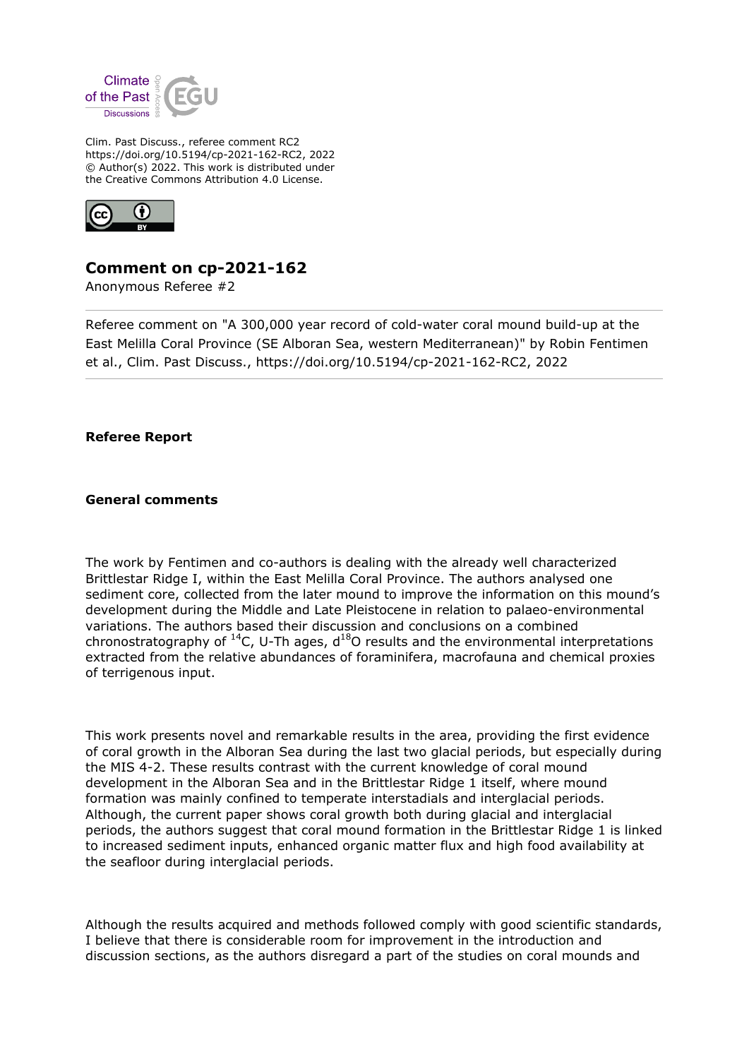

Clim. Past Discuss., referee comment RC2 https://doi.org/10.5194/cp-2021-162-RC2, 2022 © Author(s) 2022. This work is distributed under the Creative Commons Attribution 4.0 License.



# **Comment on cp-2021-162**

Anonymous Referee #2

Referee comment on "A 300,000 year record of cold-water coral mound build-up at the East Melilla Coral Province (SE Alboran Sea, western Mediterranean)" by Robin Fentimen et al., Clim. Past Discuss., https://doi.org/10.5194/cp-2021-162-RC2, 2022

**Referee Report**

**General comments**

The work by Fentimen and co-authors is dealing with the already well characterized Brittlestar Ridge I, within the East Melilla Coral Province. The authors analysed one sediment core, collected from the later mound to improve the information on this mound's development during the Middle and Late Pleistocene in relation to palaeo-environmental variations. The authors based their discussion and conclusions on a combined chronostratography of  $^{14}$ C, U-Th ages,  $d^{18}$ O results and the environmental interpretations extracted from the relative abundances of foraminifera, macrofauna and chemical proxies of terrigenous input.

This work presents novel and remarkable results in the area, providing the first evidence of coral growth in the Alboran Sea during the last two glacial periods, but especially during the MIS 4-2. These results contrast with the current knowledge of coral mound development in the Alboran Sea and in the Brittlestar Ridge 1 itself, where mound formation was mainly confined to temperate interstadials and interglacial periods. Although, the current paper shows coral growth both during glacial and interglacial periods, the authors suggest that coral mound formation in the Brittlestar Ridge 1 is linked to increased sediment inputs, enhanced organic matter flux and high food availability at the seafloor during interglacial periods.

Although the results acquired and methods followed comply with good scientific standards, I believe that there is considerable room for improvement in the introduction and discussion sections, as the authors disregard a part of the studies on coral mounds and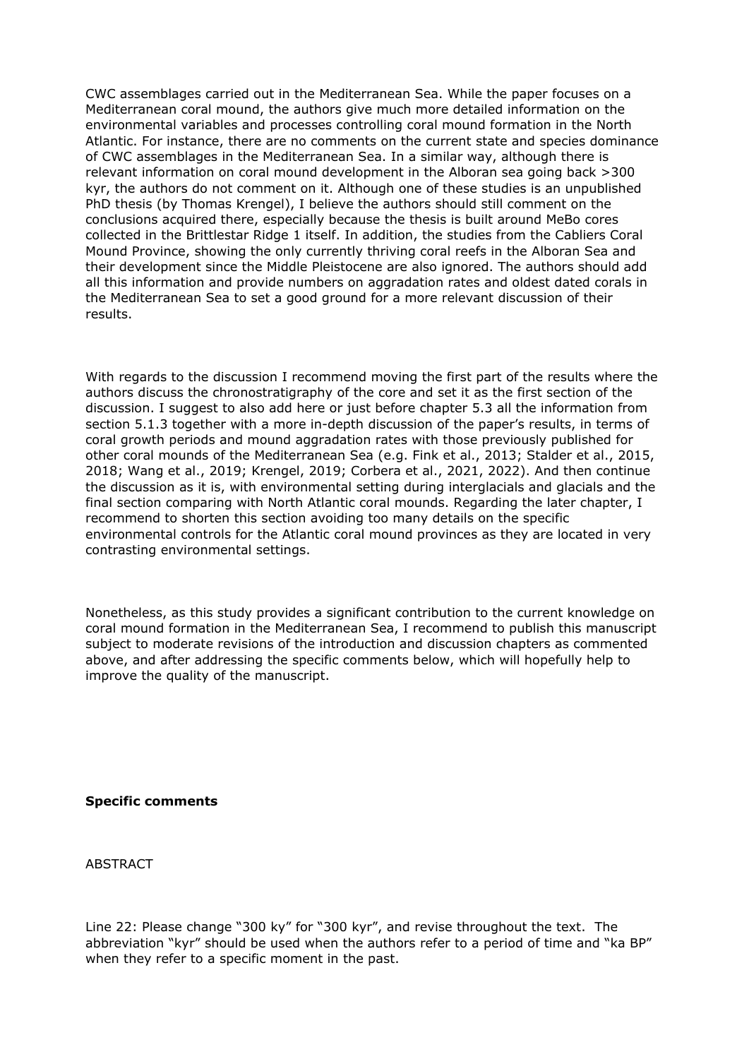CWC assemblages carried out in the Mediterranean Sea. While the paper focuses on a Mediterranean coral mound, the authors give much more detailed information on the environmental variables and processes controlling coral mound formation in the North Atlantic. For instance, there are no comments on the current state and species dominance of CWC assemblages in the Mediterranean Sea. In a similar way, although there is relevant information on coral mound development in the Alboran sea going back >300 kyr, the authors do not comment on it. Although one of these studies is an unpublished PhD thesis (by Thomas Krengel), I believe the authors should still comment on the conclusions acquired there, especially because the thesis is built around MeBo cores collected in the Brittlestar Ridge 1 itself. In addition, the studies from the Cabliers Coral Mound Province, showing the only currently thriving coral reefs in the Alboran Sea and their development since the Middle Pleistocene are also ignored. The authors should add all this information and provide numbers on aggradation rates and oldest dated corals in the Mediterranean Sea to set a good ground for a more relevant discussion of their results.

With regards to the discussion I recommend moving the first part of the results where the authors discuss the chronostratigraphy of the core and set it as the first section of the discussion. I suggest to also add here or just before chapter 5.3 all the information from section 5.1.3 together with a more in-depth discussion of the paper's results, in terms of coral growth periods and mound aggradation rates with those previously published for other coral mounds of the Mediterranean Sea (e.g. Fink et al., 2013; Stalder et al., 2015, 2018; Wang et al., 2019; Krengel, 2019; Corbera et al., 2021, 2022). And then continue the discussion as it is, with environmental setting during interglacials and glacials and the final section comparing with North Atlantic coral mounds. Regarding the later chapter, I recommend to shorten this section avoiding too many details on the specific environmental controls for the Atlantic coral mound provinces as they are located in very contrasting environmental settings.

Nonetheless, as this study provides a significant contribution to the current knowledge on coral mound formation in the Mediterranean Sea, I recommend to publish this manuscript subject to moderate revisions of the introduction and discussion chapters as commented above, and after addressing the specific comments below, which will hopefully help to improve the quality of the manuscript.

**Specific comments**

**ABSTRACT** 

Line 22: Please change "300 ky" for "300 kyr", and revise throughout the text. The abbreviation "kyr" should be used when the authors refer to a period of time and "ka BP" when they refer to a specific moment in the past.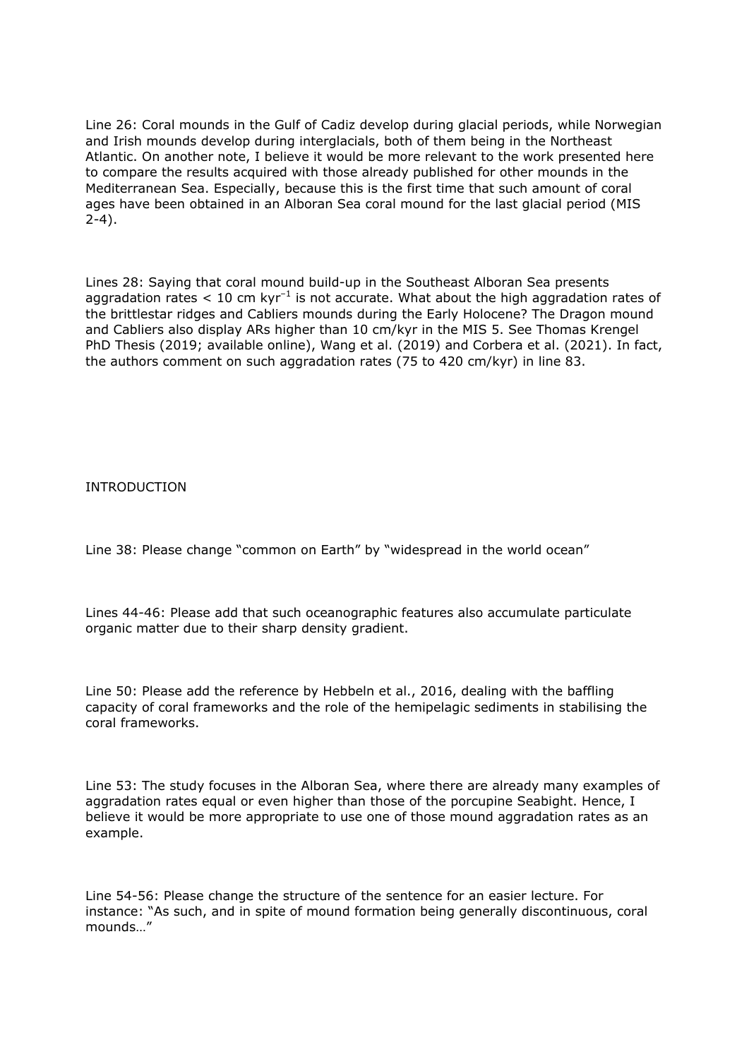Line 26: Coral mounds in the Gulf of Cadiz develop during glacial periods, while Norwegian and Irish mounds develop during interglacials, both of them being in the Northeast Atlantic. On another note, I believe it would be more relevant to the work presented here to compare the results acquired with those already published for other mounds in the Mediterranean Sea. Especially, because this is the first time that such amount of coral ages have been obtained in an Alboran Sea coral mound for the last glacial period (MIS 2-4).

Lines 28: Saying that coral mound build-up in the Southeast Alboran Sea presents aggradation rates  $< 10$  cm kyr<sup>-1</sup> is not accurate. What about the high aggradation rates of the brittlestar ridges and Cabliers mounds during the Early Holocene? The Dragon mound and Cabliers also display ARs higher than 10 cm/kyr in the MIS 5. See Thomas Krengel PhD Thesis (2019; available online), Wang et al. (2019) and Corbera et al. (2021). In fact, the authors comment on such aggradation rates (75 to 420 cm/kyr) in line 83.

INTRODUCTION

Line 38: Please change "common on Earth" by "widespread in the world ocean"

Lines 44-46: Please add that such oceanographic features also accumulate particulate organic matter due to their sharp density gradient.

Line 50: Please add the reference by Hebbeln et al., 2016, dealing with the baffling capacity of coral frameworks and the role of the hemipelagic sediments in stabilising the coral frameworks.

Line 53: The study focuses in the Alboran Sea, where there are already many examples of aggradation rates equal or even higher than those of the porcupine Seabight. Hence, I believe it would be more appropriate to use one of those mound aggradation rates as an example.

Line 54-56: Please change the structure of the sentence for an easier lecture. For instance: "As such, and in spite of mound formation being generally discontinuous, coral mounds…"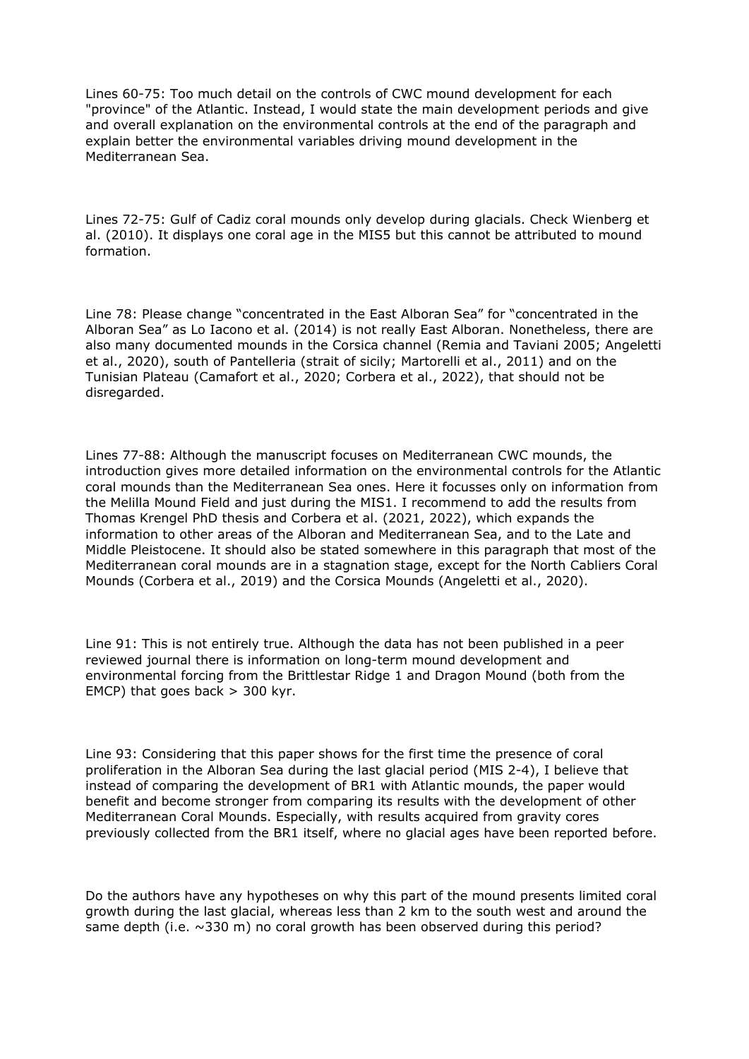Lines 60-75: Too much detail on the controls of CWC mound development for each "province" of the Atlantic. Instead, I would state the main development periods and give and overall explanation on the environmental controls at the end of the paragraph and explain better the environmental variables driving mound development in the Mediterranean Sea.

Lines 72-75: Gulf of Cadiz coral mounds only develop during glacials. Check Wienberg et al. (2010). It displays one coral age in the MIS5 but this cannot be attributed to mound formation.

Line 78: Please change "concentrated in the East Alboran Sea" for "concentrated in the Alboran Sea" as Lo Iacono et al. (2014) is not really East Alboran. Nonetheless, there are also many documented mounds in the Corsica channel (Remia and Taviani 2005; Angeletti et al., 2020), south of Pantelleria (strait of sicily; Martorelli et al., 2011) and on the Tunisian Plateau (Camafort et al., 2020; Corbera et al., 2022), that should not be disregarded.

Lines 77-88: Although the manuscript focuses on Mediterranean CWC mounds, the introduction gives more detailed information on the environmental controls for the Atlantic coral mounds than the Mediterranean Sea ones. Here it focusses only on information from the Melilla Mound Field and just during the MIS1. I recommend to add the results from Thomas Krengel PhD thesis and Corbera et al. (2021, 2022), which expands the information to other areas of the Alboran and Mediterranean Sea, and to the Late and Middle Pleistocene. It should also be stated somewhere in this paragraph that most of the Mediterranean coral mounds are in a stagnation stage, except for the North Cabliers Coral Mounds (Corbera et al., 2019) and the Corsica Mounds (Angeletti et al., 2020).

Line 91: This is not entirely true. Although the data has not been published in a peer reviewed journal there is information on long-term mound development and environmental forcing from the Brittlestar Ridge 1 and Dragon Mound (both from the EMCP) that goes back  $>$  300 kyr.

Line 93: Considering that this paper shows for the first time the presence of coral proliferation in the Alboran Sea during the last glacial period (MIS 2-4), I believe that instead of comparing the development of BR1 with Atlantic mounds, the paper would benefit and become stronger from comparing its results with the development of other Mediterranean Coral Mounds. Especially, with results acquired from gravity cores previously collected from the BR1 itself, where no glacial ages have been reported before.

Do the authors have any hypotheses on why this part of the mound presents limited coral growth during the last glacial, whereas less than 2 km to the south west and around the same depth (i.e.  $\sim$ 330 m) no coral growth has been observed during this period?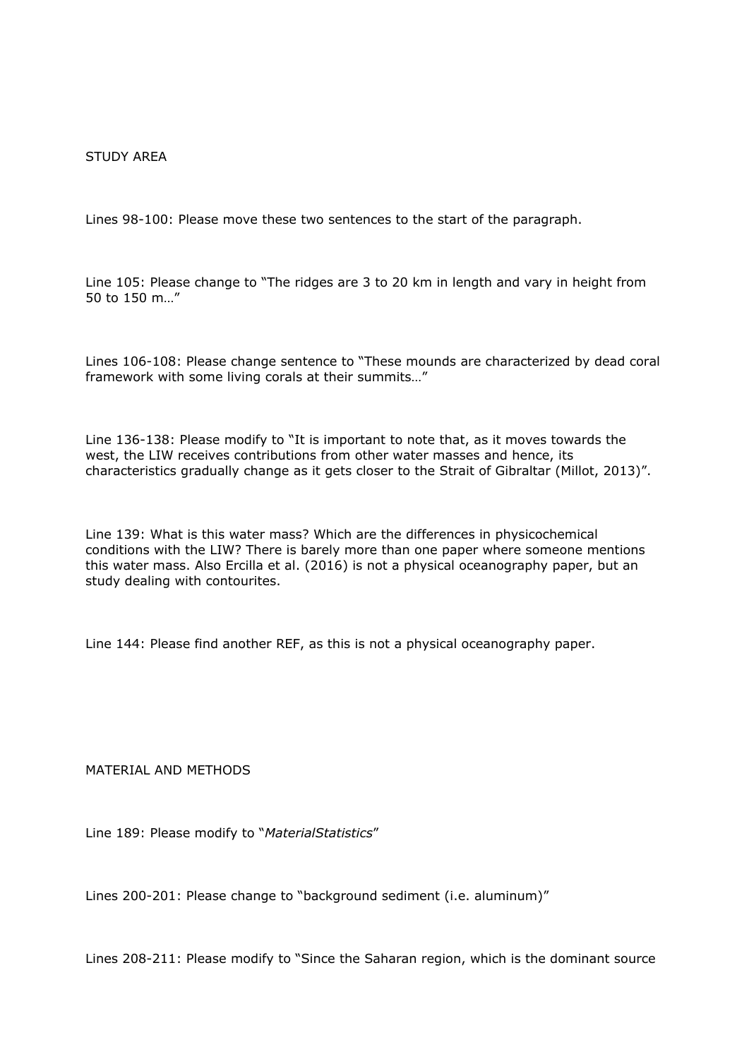### STUDY AREA

Lines 98-100: Please move these two sentences to the start of the paragraph.

Line 105: Please change to "The ridges are 3 to 20 km in length and vary in height from 50 to 150 m…"

Lines 106-108: Please change sentence to "These mounds are characterized by dead coral framework with some living corals at their summits…"

Line 136-138: Please modify to "It is important to note that, as it moves towards the west, the LIW receives contributions from other water masses and hence, its characteristics gradually change as it gets closer to the Strait of Gibraltar (Millot, 2013)".

Line 139: What is this water mass? Which are the differences in physicochemical conditions with the LIW? There is barely more than one paper where someone mentions this water mass. Also Ercilla et al. (2016) is not a physical oceanography paper, but an study dealing with contourites.

Line 144: Please find another REF, as this is not a physical oceanography paper.

MATERIAL AND METHODS

Line 189: Please modify to "*MaterialStatistics*"

Lines 200-201: Please change to "background sediment (i.e. aluminum)"

Lines 208-211: Please modify to "Since the Saharan region, which is the dominant source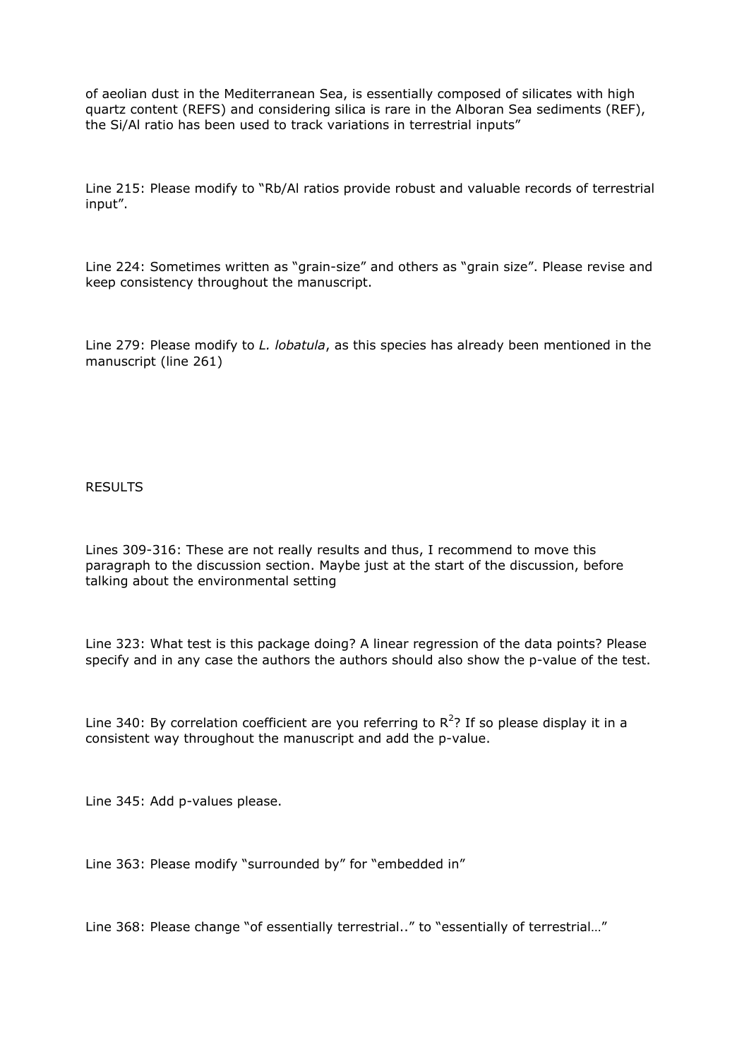of aeolian dust in the Mediterranean Sea, is essentially composed of silicates with high quartz content (REFS) and considering silica is rare in the Alboran Sea sediments (REF), the Si/Al ratio has been used to track variations in terrestrial inputs"

Line 215: Please modify to "Rb/Al ratios provide robust and valuable records of terrestrial input".

Line 224: Sometimes written as "grain-size" and others as "grain size". Please revise and keep consistency throughout the manuscript.

Line 279: Please modify to *L. lobatula*, as this species has already been mentioned in the manuscript (line 261)

RESULTS

Lines 309-316: These are not really results and thus, I recommend to move this paragraph to the discussion section. Maybe just at the start of the discussion, before talking about the environmental setting

Line 323: What test is this package doing? A linear regression of the data points? Please specify and in any case the authors the authors should also show the p-value of the test.

Line 340: By correlation coefficient are you referring to  $R^2$ ? If so please display it in a consistent way throughout the manuscript and add the p-value.

Line 345: Add p-values please.

Line 363: Please modify "surrounded by" for "embedded in"

Line 368: Please change "of essentially terrestrial.." to "essentially of terrestrial…"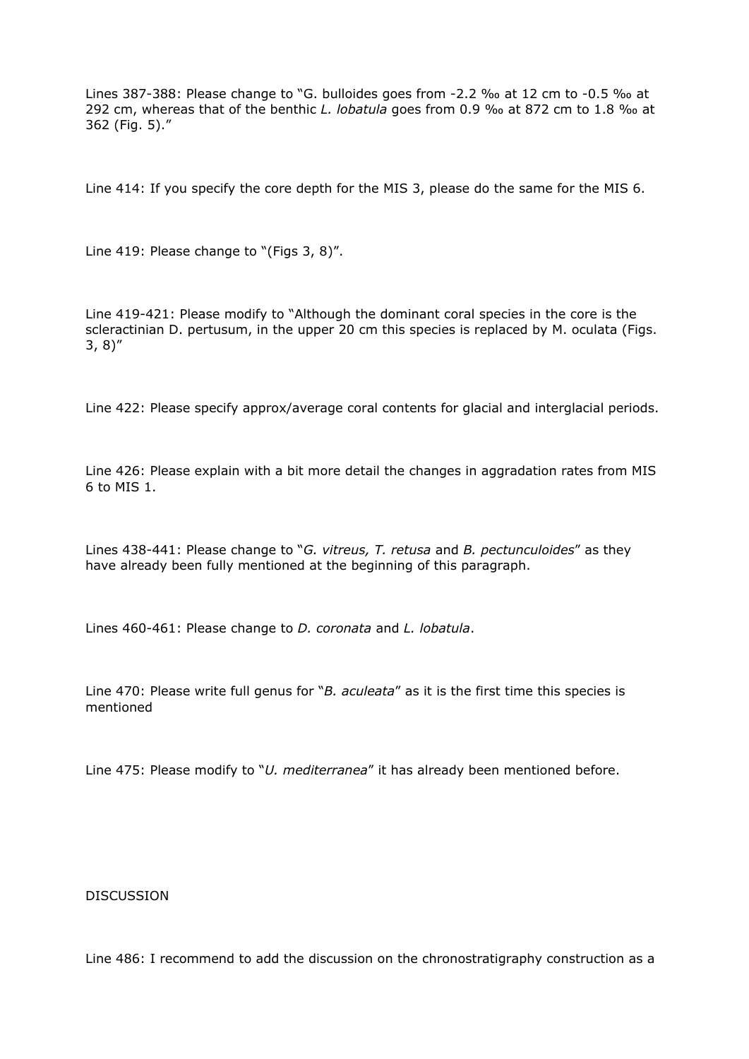Lines 387-388: Please change to "G. bulloides goes from -2.2 ‰ at 12 cm to -0.5 ‰ at 292 cm, whereas that of the benthic *L. lobatula* goes from 0.9 ‰ at 872 cm to 1.8 ‰ at 362 (Fig. 5)."

Line 414: If you specify the core depth for the MIS 3, please do the same for the MIS 6.

Line 419: Please change to "(Figs 3, 8)".

Line 419-421: Please modify to "Although the dominant coral species in the core is the scleractinian D. pertusum, in the upper 20 cm this species is replaced by M. oculata (Figs. 3, 8)"

Line 422: Please specify approx/average coral contents for glacial and interglacial periods.

Line 426: Please explain with a bit more detail the changes in aggradation rates from MIS 6 to MIS 1.

Lines 438-441: Please change to "*G. vitreus, T. retusa* and *B. pectunculoides*" as they have already been fully mentioned at the beginning of this paragraph.

Lines 460-461: Please change to *D. coronata* and *L. lobatula*.

Line 470: Please write full genus for "*B. aculeata*" as it is the first time this species is mentioned

Line 475: Please modify to "*U. mediterranea*" it has already been mentioned before.

#### **DISCUSSION**

Line 486: I recommend to add the discussion on the chronostratigraphy construction as a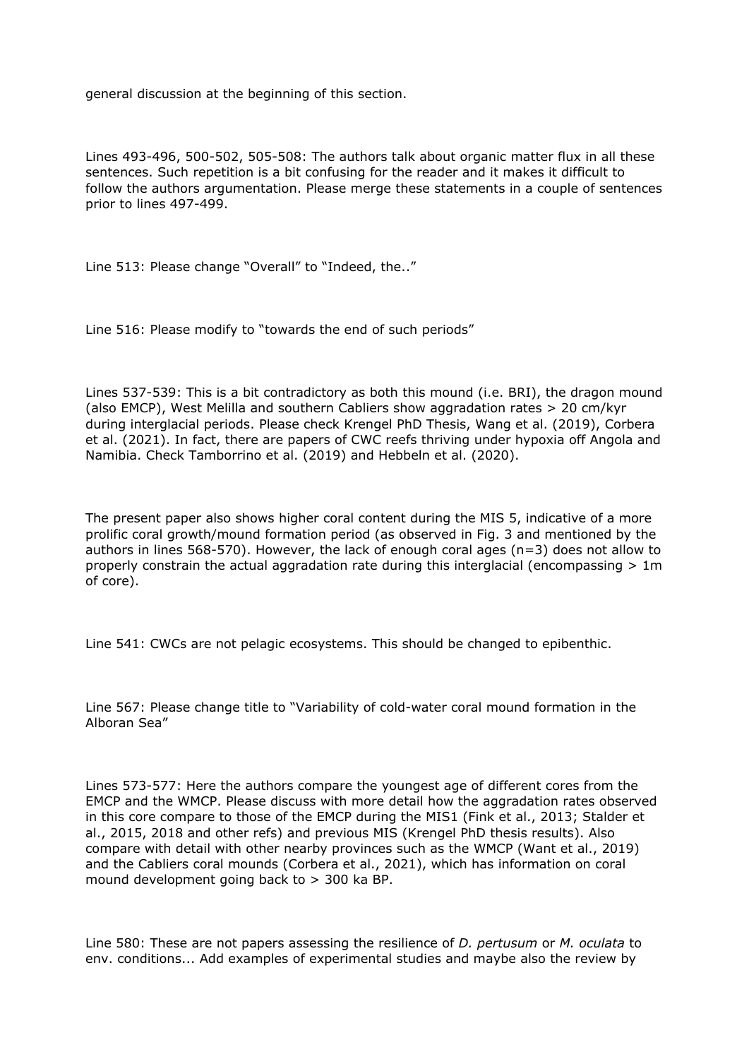general discussion at the beginning of this section.

Lines 493-496, 500-502, 505-508: The authors talk about organic matter flux in all these sentences. Such repetition is a bit confusing for the reader and it makes it difficult to follow the authors argumentation. Please merge these statements in a couple of sentences prior to lines 497-499.

Line 513: Please change "Overall" to "Indeed, the.."

Line 516: Please modify to "towards the end of such periods"

Lines 537-539: This is a bit contradictory as both this mound (i.e. BRI), the dragon mound (also EMCP), West Melilla and southern Cabliers show aggradation rates > 20 cm/kyr during interglacial periods. Please check Krengel PhD Thesis, Wang et al. (2019), Corbera et al. (2021). In fact, there are papers of CWC reefs thriving under hypoxia off Angola and Namibia. Check Tamborrino et al. (2019) and Hebbeln et al. (2020).

The present paper also shows higher coral content during the MIS 5, indicative of a more prolific coral growth/mound formation period (as observed in Fig. 3 and mentioned by the authors in lines 568-570). However, the lack of enough coral ages ( $n=3$ ) does not allow to properly constrain the actual aggradation rate during this interglacial (encompassing  $> 1$ m of core).

Line 541: CWCs are not pelagic ecosystems. This should be changed to epibenthic.

Line 567: Please change title to "Variability of cold-water coral mound formation in the Alboran Sea"

Lines 573-577: Here the authors compare the youngest age of different cores from the EMCP and the WMCP. Please discuss with more detail how the aggradation rates observed in this core compare to those of the EMCP during the MIS1 (Fink et al., 2013; Stalder et al., 2015, 2018 and other refs) and previous MIS (Krengel PhD thesis results). Also compare with detail with other nearby provinces such as the WMCP (Want et al., 2019) and the Cabliers coral mounds (Corbera et al., 2021), which has information on coral mound development going back to > 300 ka BP.

Line 580: These are not papers assessing the resilience of *D. pertusum* or *M. oculata* to env. conditions... Add examples of experimental studies and maybe also the review by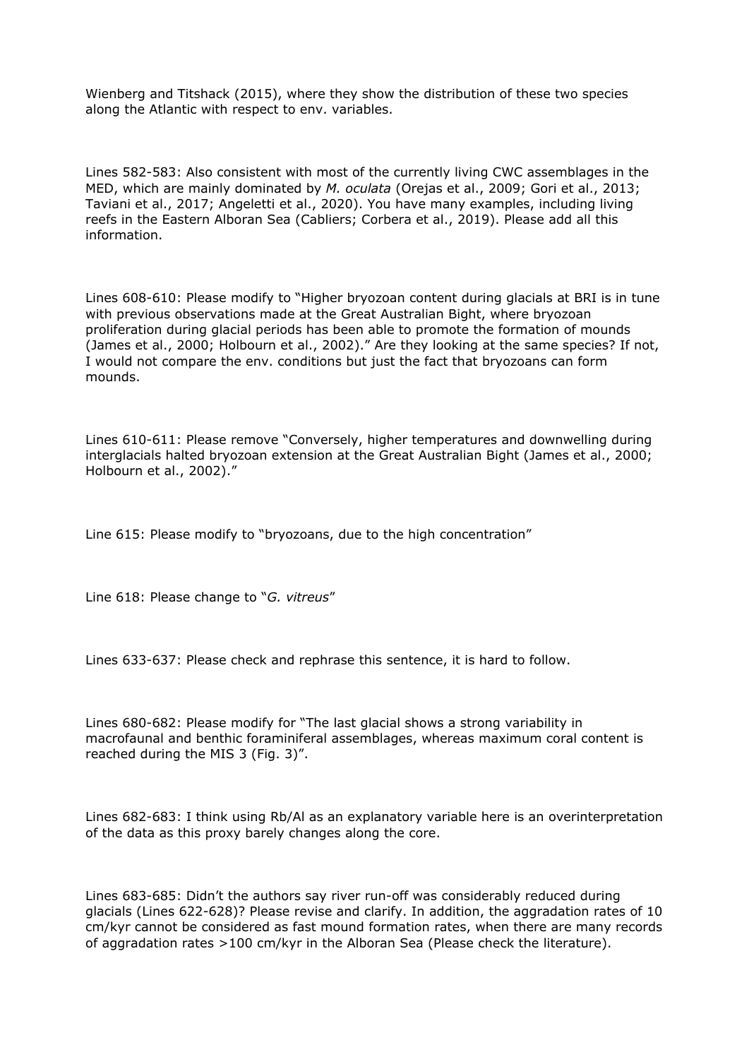Wienberg and Titshack (2015), where they show the distribution of these two species along the Atlantic with respect to env. variables.

Lines 582-583: Also consistent with most of the currently living CWC assemblages in the MED, which are mainly dominated by *M. oculata* (Orejas et al., 2009; Gori et al., 2013; Taviani et al., 2017; Angeletti et al., 2020). You have many examples, including living reefs in the Eastern Alboran Sea (Cabliers; Corbera et al., 2019). Please add all this information.

Lines 608-610: Please modify to "Higher bryozoan content during glacials at BRI is in tune with previous observations made at the Great Australian Bight, where bryozoan proliferation during glacial periods has been able to promote the formation of mounds (James et al., 2000; Holbourn et al., 2002)." Are they looking at the same species? If not, I would not compare the env. conditions but just the fact that bryozoans can form mounds.

Lines 610-611: Please remove "Conversely, higher temperatures and downwelling during interglacials halted bryozoan extension at the Great Australian Bight (James et al., 2000; Holbourn et al., 2002)."

Line 615: Please modify to "bryozoans, due to the high concentration"

Line 618: Please change to "*G. vitreus*"

Lines 633-637: Please check and rephrase this sentence, it is hard to follow.

Lines 680-682: Please modify for "The last glacial shows a strong variability in macrofaunal and benthic foraminiferal assemblages, whereas maximum coral content is reached during the MIS 3 (Fig. 3)".

Lines 682-683: I think using Rb/Al as an explanatory variable here is an overinterpretation of the data as this proxy barely changes along the core.

Lines 683-685: Didn't the authors say river run-off was considerably reduced during glacials (Lines 622-628)? Please revise and clarify. In addition, the aggradation rates of 10 cm/kyr cannot be considered as fast mound formation rates, when there are many records of aggradation rates >100 cm/kyr in the Alboran Sea (Please check the literature).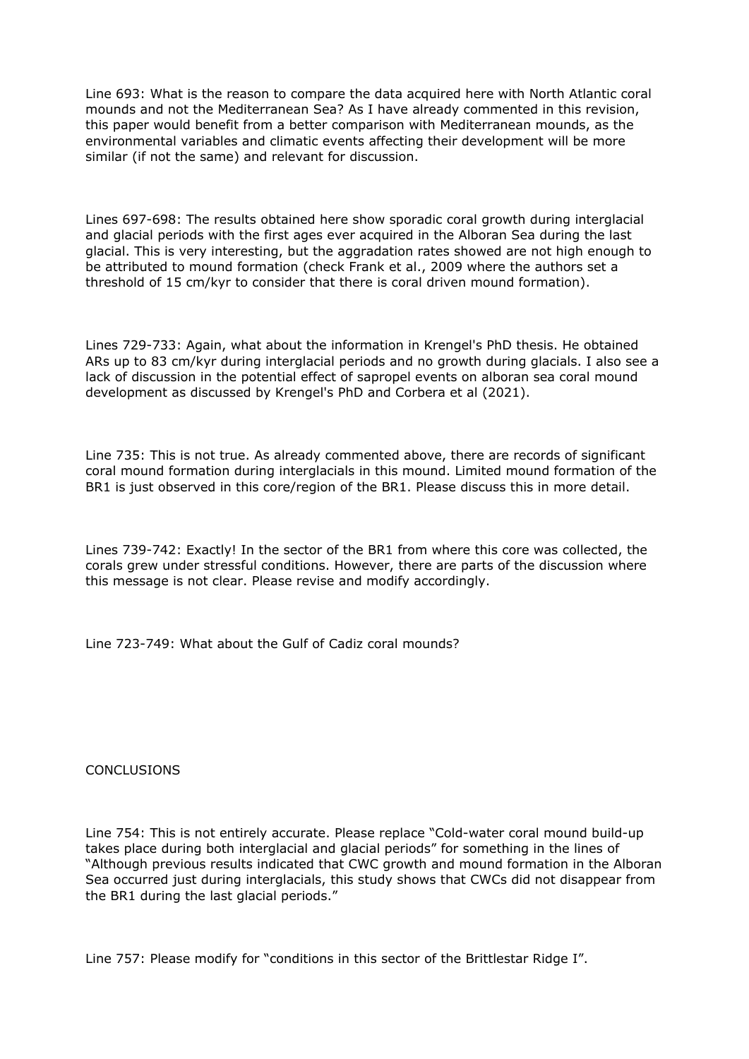Line 693: What is the reason to compare the data acquired here with North Atlantic coral mounds and not the Mediterranean Sea? As I have already commented in this revision, this paper would benefit from a better comparison with Mediterranean mounds, as the environmental variables and climatic events affecting their development will be more similar (if not the same) and relevant for discussion.

Lines 697-698: The results obtained here show sporadic coral growth during interglacial and glacial periods with the first ages ever acquired in the Alboran Sea during the last glacial. This is very interesting, but the aggradation rates showed are not high enough to be attributed to mound formation (check Frank et al., 2009 where the authors set a threshold of 15 cm/kyr to consider that there is coral driven mound formation).

Lines 729-733: Again, what about the information in Krengel's PhD thesis. He obtained ARs up to 83 cm/kyr during interglacial periods and no growth during glacials. I also see a lack of discussion in the potential effect of sapropel events on alboran sea coral mound development as discussed by Krengel's PhD and Corbera et al (2021).

Line 735: This is not true. As already commented above, there are records of significant coral mound formation during interglacials in this mound. Limited mound formation of the BR1 is just observed in this core/region of the BR1. Please discuss this in more detail.

Lines 739-742: Exactly! In the sector of the BR1 from where this core was collected, the corals grew under stressful conditions. However, there are parts of the discussion where this message is not clear. Please revise and modify accordingly.

Line 723-749: What about the Gulf of Cadiz coral mounds?

**CONCLUSIONS** 

Line 754: This is not entirely accurate. Please replace "Cold-water coral mound build-up takes place during both interglacial and glacial periods" for something in the lines of "Although previous results indicated that CWC growth and mound formation in the Alboran Sea occurred just during interglacials, this study shows that CWCs did not disappear from the BR1 during the last glacial periods."

Line 757: Please modify for "conditions in this sector of the Brittlestar Ridge I".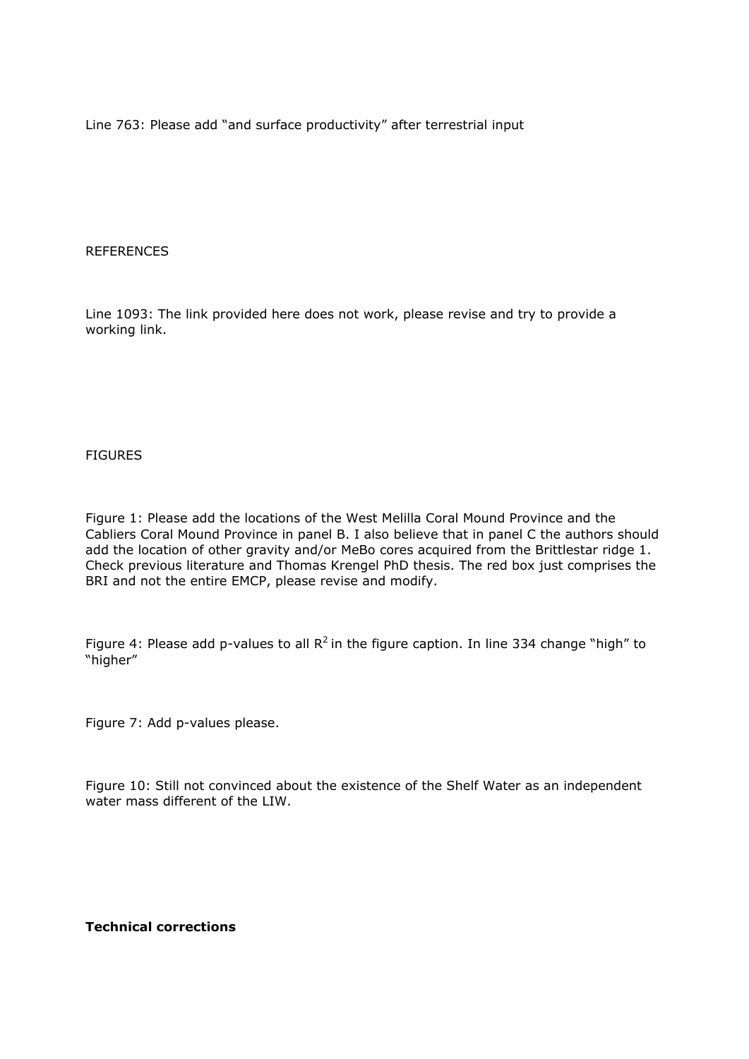Line 763: Please add "and surface productivity" after terrestrial input

## **REFERENCES**

Line 1093: The link provided here does not work, please revise and try to provide a working link.

**FIGURES** 

Figure 1: Please add the locations of the West Melilla Coral Mound Province and the Cabliers Coral Mound Province in panel B. I also believe that in panel C the authors should add the location of other gravity and/or MeBo cores acquired from the Brittlestar ridge 1. Check previous literature and Thomas Krengel PhD thesis. The red box just comprises the BRI and not the entire EMCP, please revise and modify.

Figure 4: Please add p-values to all  $R^2$  in the figure caption. In line 334 change "high" to "higher"

Figure 7: Add p-values please.

Figure 10: Still not convinced about the existence of the Shelf Water as an independent water mass different of the LIW.

# **Technical corrections**